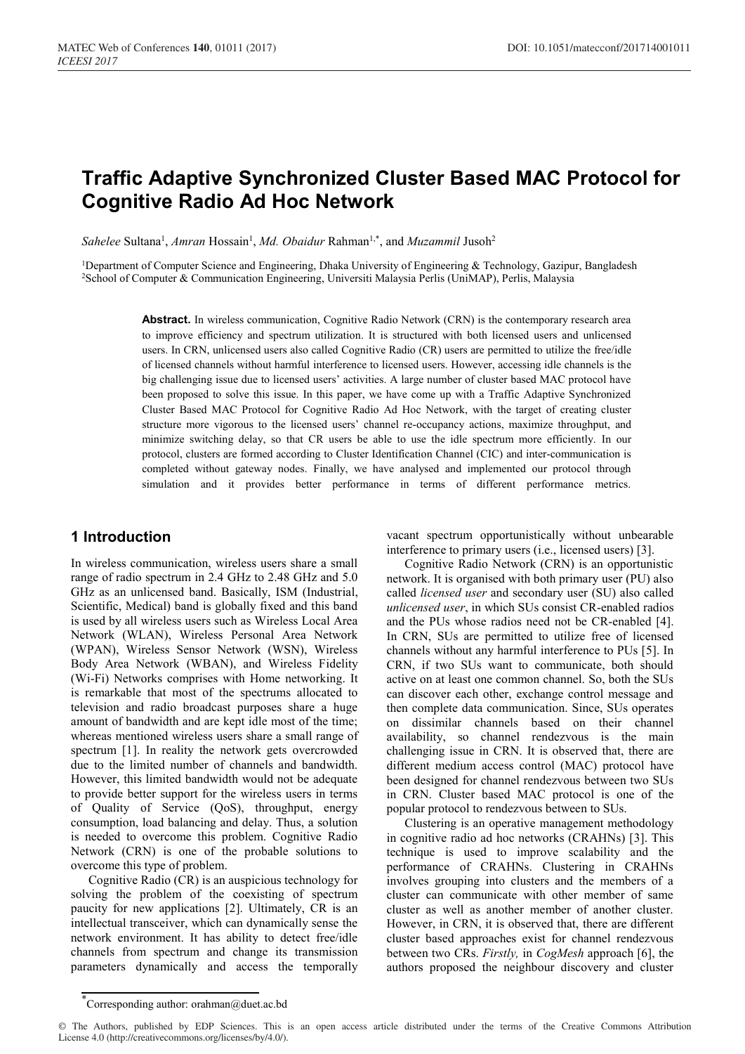# **Traffic Adaptive Synchronized Cluster Based MAC Protocol for Cognitive Radio Ad Hoc Network**

Sahelee Sultana<sup>1</sup>, Amran Hossain<sup>1</sup>, Md. Obaidur Rahman<sup>1,\*</sup>, and Muzammil Jusoh<sup>2</sup>

<sup>1</sup>Department of Computer Science and Engineering, Dhaka University of Engineering & Technology, Gazipur, Bangladesh 2School of Computer & Communication Engineering, Universiti Malaysia Perlis (UniMAP), Perlis, Malaysia

> **Abstract.** In wireless communication, Cognitive Radio Network (CRN) is the contemporary research area to improve efficiency and spectrum utilization. It is structured with both licensed users and unlicensed users. In CRN, unlicensed users also called Cognitive Radio (CR) users are permitted to utilize the free/idle of licensed channels without harmful interference to licensed users. However, accessing idle channels is the big challenging issue due to licensed users' activities. A large number of cluster based MAC protocol have been proposed to solve this issue. In this paper, we have come up with a Traffic Adaptive Synchronized Cluster Based MAC Protocol for Cognitive Radio Ad Hoc Network, with the target of creating cluster structure more vigorous to the licensed users' channel re-occupancy actions, maximize throughput, and minimize switching delay, so that CR users be able to use the idle spectrum more efficiently. In our protocol, clusters are formed according to Cluster Identification Channel (CIC) and inter-communication is completed without gateway nodes. Finally, we have analysed and implemented our protocol through simulation and it provides better performance in terms of different performance metrics.

# **1 Introduction**

In wireless communication, wireless users share a small range of radio spectrum in 2.4 GHz to 2.48 GHz and 5.0 GHz as an unlicensed band. Basically, ISM (Industrial, Scientific, Medical) band is globally fixed and this band is used by all wireless users such as Wireless Local Area Network (WLAN), Wireless Personal Area Network (WPAN), Wireless Sensor Network (WSN), Wireless Body Area Network (WBAN), and Wireless Fidelity (Wi-Fi) Networks comprises with Home networking. It is remarkable that most of the spectrums allocated to television and radio broadcast purposes share a huge amount of bandwidth and are kept idle most of the time; whereas mentioned wireless users share a small range of spectrum [1]. In reality the network gets overcrowded due to the limited number of channels and bandwidth. However, this limited bandwidth would not be adequate to provide better support for the wireless users in terms of Quality of Service (QoS), throughput, energy consumption, load balancing and delay. Thus, a solution is needed to overcome this problem. Cognitive Radio Network (CRN) is one of the probable solutions to overcome this type of problem.

Cognitive Radio (CR) is an auspicious technology for solving the problem of the coexisting of spectrum paucity for new applications [2]. Ultimately, CR is an intellectual transceiver, which can dynamically sense the network environment. It has ability to detect free/idle channels from spectrum and change its transmission parameters dynamically and access the temporally

vacant spectrum opportunistically without unbearable interference to primary users (i.e., licensed users) [3].

Cognitive Radio Network (CRN) is an opportunistic network. It is organised with both primary user (PU) also called *licensed user* and secondary user (SU) also called *unlicensed user*, in which SUs consist CR-enabled radios and the PUs whose radios need not be CR-enabled [4]. In CRN, SUs are permitted to utilize free of licensed channels without any harmful interference to PUs [5]. In CRN, if two SUs want to communicate, both should active on at least one common channel. So, both the SUs can discover each other, exchange control message and then complete data communication. Since, SUs operates on dissimilar channels based on their channel availability, so channel rendezvous is the main challenging issue in CRN. It is observed that, there are different medium access control (MAC) protocol have been designed for channel rendezvous between two SUs in CRN. Cluster based MAC protocol is one of the popular protocol to rendezvous between to SUs.

Clustering is an operative management methodology in cognitive radio ad hoc networks (CRAHNs) [3]. This technique is used to improve scalability and the performance of CRAHNs. Clustering in CRAHNs involves grouping into clusters and the members of a cluster can communicate with other member of same cluster as well as another member of another cluster. However, in CRN, it is observed that, there are different cluster based approaches exist for channel rendezvous between two CRs. *Firstly,* in *CogMesh* approach [6], the authors proposed the neighbour discovery and cluster

<sup>\*</sup> Corresponding author: orahman@duet.ac.bd

<sup>©</sup> The Authors, published by EDP Sciences. This is an open access article distributed under the terms of the Creative Commons Attribution License 4.0 (http://creativecommons.org/licenses/by/4.0/).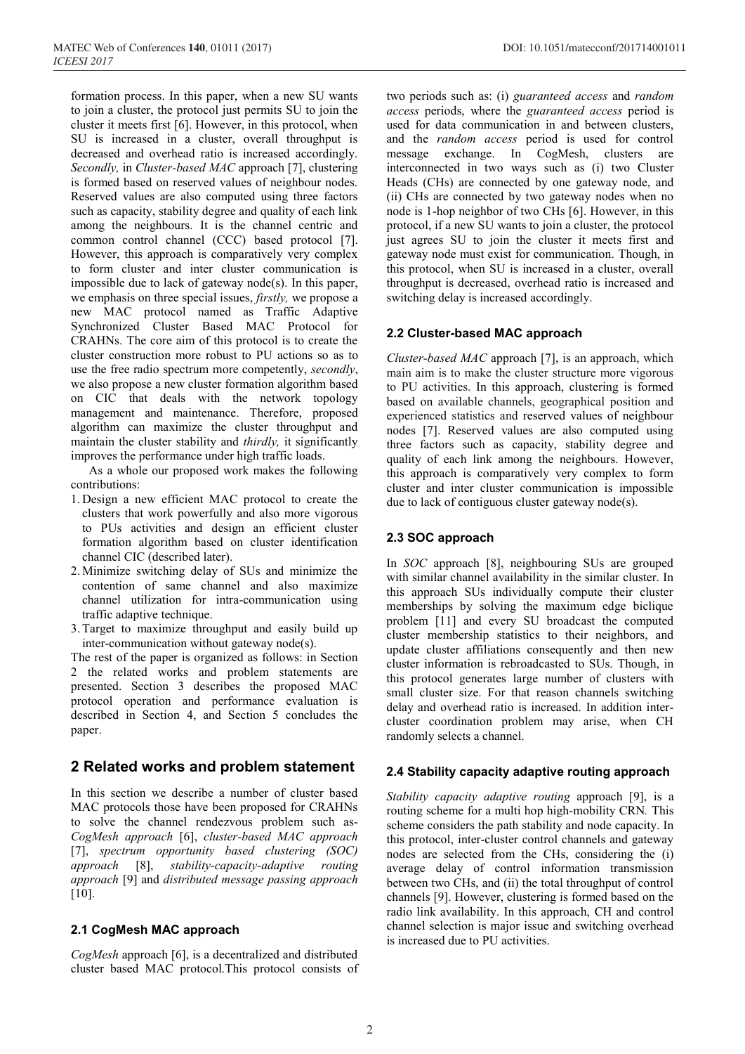formation process. In this paper, when a new SU wants to join a cluster, the protocol just permits SU to join the cluster it meets first [6]. However, in this protocol, when SU is increased in a cluster, overall throughput is decreased and overhead ratio is increased accordingly. *Secondly,* in *Cluster-based MAC* approach [7], clustering is formed based on reserved values of neighbour nodes. Reserved values are also computed using three factors such as capacity, stability degree and quality of each link among the neighbours. It is the channel centric and common control channel (CCC) based protocol [7]. However, this approach is comparatively very complex to form cluster and inter cluster communication is impossible due to lack of gateway node(s). In this paper, we emphasis on three special issues, *firstly,* we propose a new MAC protocol named as Traffic Adaptive Synchronized Cluster Based MAC Protocol for CRAHNs. The core aim of this protocol is to create the cluster construction more robust to PU actions so as to use the free radio spectrum more competently, *secondly*, we also propose a new cluster formation algorithm based on CIC that deals with the network topology management and maintenance. Therefore, proposed algorithm can maximize the cluster throughput and maintain the cluster stability and *thirdly,* it significantly improves the performance under high traffic loads.

As a whole our proposed work makes the following contributions:

- 1. Design a new efficient MAC protocol to create the clusters that work powerfully and also more vigorous to PUs activities and design an efficient cluster formation algorithm based on cluster identification channel CIC (described later).
- 2. Minimize switching delay of SUs and minimize the contention of same channel and also maximize channel utilization for intra-communication using traffic adaptive technique.
- 3.Target to maximize throughput and easily build up inter-communication without gateway node(s).

The rest of the paper is organized as follows: in Section 2 the related works and problem statements are presented. Section 3 describes the proposed MAC protocol operation and performance evaluation is described in Section 4, and Section 5 concludes the paper.

# **2 Related works and problem statement**

In this section we describe a number of cluster based MAC protocols those have been proposed for CRAHNs to solve the channel rendezvous problem such as-*CogMesh approach* [6], *cluster-based MAC approach* [7], *spectrum opportunity based clustering (SOC) approach* [8], *stability-capacity-adaptive routing approach* [9] and *distributed message passing approach* [10].

# **2.1 CogMesh MAC approach**

*CogMesh* approach [6], is a decentralized and distributed cluster based MAC protocol.This protocol consists of two periods such as: (i) *guaranteed access* and *random access* periods, where the *guaranteed access* period is used for data communication in and between clusters, and the *random access* period is used for control message exchange. In CogMesh, clusters are interconnected in two ways such as (i) two Cluster Heads (CHs) are connected by one gateway node, and (ii) CHs are connected by two gateway nodes when no node is 1-hop neighbor of two CHs [6]. However, in this protocol, if a new SU wants to join a cluster, the protocol just agrees SU to join the cluster it meets first and gateway node must exist for communication. Though, in this protocol, when SU is increased in a cluster, overall throughput is decreased, overhead ratio is increased and switching delay is increased accordingly.

# **2.2 Cluster-based MAC approach**

*Cluster-based MAC* approach [7], is an approach, which main aim is to make the cluster structure more vigorous to PU activities. In this approach, clustering is formed based on available channels, geographical position and experienced statistics and reserved values of neighbour nodes [7]. Reserved values are also computed using three factors such as capacity, stability degree and quality of each link among the neighbours. However, this approach is comparatively very complex to form cluster and inter cluster communication is impossible due to lack of contiguous cluster gateway node(s).

# **2.3 SOC approach**

In *SOC* approach [8], neighbouring SUs are grouped with similar channel availability in the similar cluster. In this approach SUs individually compute their cluster memberships by solving the maximum edge biclique problem [11] and every SU broadcast the computed cluster membership statistics to their neighbors, and update cluster affiliations consequently and then new cluster information is rebroadcasted to SUs. Though, in this protocol generates large number of clusters with small cluster size. For that reason channels switching delay and overhead ratio is increased. In addition intercluster coordination problem may arise, when CH randomly selects a channel.

# **2.4 Stability capacity adaptive routing approach**

*Stability capacity adaptive routing* approach [9], is a routing scheme for a multi hop high-mobility CRN*.* This scheme considers the path stability and node capacity. In this protocol, inter-cluster control channels and gateway nodes are selected from the CHs, considering the (i) average delay of control information transmission between two CHs, and (ii) the total throughput of control channels [9]. However, clustering is formed based on the radio link availability. In this approach, CH and control channel selection is major issue and switching overhead is increased due to PU activities.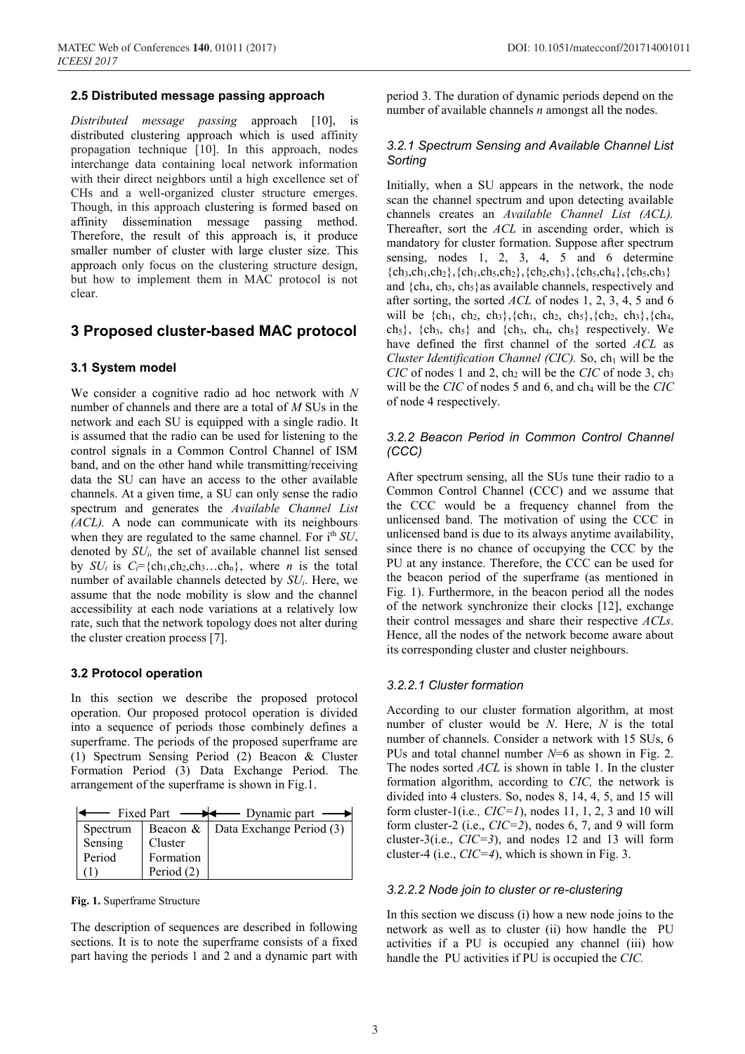## **2.5 Distributed message passing approach**

*Distributed message passing* approach [10], is distributed clustering approach which is used affinity propagation technique [10]. In this approach, nodes interchange data containing local network information with their direct neighbors until a high excellence set of CHs and a well-organized cluster structure emerges. Though, in this approach clustering is formed based on affinity dissemination message passing method. Therefore, the result of this approach is, it produce smaller number of cluster with large cluster size. This approach only focus on the clustering structure design, but how to implement them in MAC protocol is not clear.

## **3 Proposed cluster-based MAC protocol**

#### **3.1 System model**

We consider a cognitive radio ad hoc network with *N* number of channels and there are a total of *M* SUs in the network and each SU is equipped with a single radio. It is assumed that the radio can be used for listening to the control signals in a Common Control Channel of ISM band, and on the other hand while transmitting/receiving data the SU can have an access to the other available channels. At a given time, a SU can only sense the radio spectrum and generates the *Available Channel List (ACL).* A node can communicate with its neighbours when they are regulated to the same channel. For i<sup>th</sup> *SU*, denoted by *SUi,* the set of available channel list sensed by  $SU_i$  is  $C_i = \{ch_1, ch_2, ch_3...ch_n\}$ , where *n* is the total number of available channels detected by *SUi*. Here, we assume that the node mobility is slow and the channel accessibility at each node variations at a relatively low rate, such that the network topology does not alter during the cluster creation process [7].

#### **3.2 Protocol operation**

In this section we describe the proposed protocol operation. Our proposed protocol operation is divided into a sequence of periods those combinely defines a superframe. The periods of the proposed superframe are (1) Spectrum Sensing Period (2) Beacon & Cluster Formation Period (3) Data Exchange Period. The arrangement of the superframe is shown in Fig.1.

| Part | Jynamic part |  |
|------|--------------|--|
|      |              |  |

| Spectrum |            | Beacon & Data Exchange Period (3) |
|----------|------------|-----------------------------------|
| Sensing  | Cluster    |                                   |
| Period   | Formation  |                                   |
|          | Period (2) |                                   |

**Fig. 1.** Superframe Structure

The description of sequences are described in following sections. It is to note the superframe consists of a fixed part having the periods 1 and 2 and a dynamic part with period 3. The duration of dynamic periods depend on the number of available channels *n* amongst all the nodes.

## *3.2.1 Spectrum Sensing and Available Channel List Sorting*

Initially, when a SU appears in the network, the node scan the channel spectrum and upon detecting available channels creates an *Available Channel List (ACL).* Thereafter, sort the *ACL* in ascending order, which is mandatory for cluster formation. Suppose after spectrum sensing, nodes 1, 2, 3, 4, 5 and 6 determine  ${ch_3, ch_1, ch_2}, {ch_1, ch_5, ch_2}, {ch_2, ch_3}, {ch_5, ch_4}, {ch_5, ch_3}$ and  ${ch_4, ch_3, ch_5}$  as available channels, respectively and after sorting, the sorted *ACL* of nodes 1, 2, 3, 4, 5 and 6 will be  $\{ch_1, ch_2, ch_3\}, \{ch_1, ch_2, ch_5\}, \{ch_2, ch_3\}, \{ch_4,$ ch<sub>5</sub>}, {ch<sub>3</sub>, ch<sub>5</sub>} and {ch<sub>3</sub>, ch<sub>4</sub>, ch<sub>5</sub>} respectively. We have defined the first channel of the sorted *ACL* as *Cluster Identification Channel (CIC)*. So,  $ch<sub>1</sub>$  will be the  $CIC$  of nodes 1 and 2, ch<sub>2</sub> will be the  $CIC$  of node 3, ch<sub>3</sub> will be the *CIC* of nodes 5 and 6, and ch<sub>4</sub> will be the *CIC* of node 4 respectively.

## *3.2.2 Beacon Period in Common Control Channel (CCC)*

After spectrum sensing, all the SUs tune their radio to a Common Control Channel (CCC) and we assume that the CCC would be a frequency channel from the unlicensed band. The motivation of using the CCC in unlicensed band is due to its always anytime availability, since there is no chance of occupying the CCC by the PU at any instance. Therefore, the CCC can be used for the beacon period of the superframe (as mentioned in Fig. 1). Furthermore, in the beacon period all the nodes of the network synchronize their clocks [12], exchange their control messages and share their respective *ACLs*. Hence, all the nodes of the network become aware about its corresponding cluster and cluster neighbours.

## *3.2.2.1 Cluster formation*

According to our cluster formation algorithm, at most number of cluster would be *N*. Here, *N* is the total number of channels. Consider a network with 15 SUs, 6 PUs and total channel number *N*=6 as shown in Fig. 2. The nodes sorted *ACL* is shown in table 1. In the cluster formation algorithm, according to *CIC,* the network is divided into 4 clusters. So, nodes 8, 14, 4, 5, and 15 will form cluster-1(i.e*., CIC=1*), nodes 11, 1, 2, 3 and 10 will form cluster-2 (i.e., *CIC=2*), nodes 6, 7, and 9 will form cluster-3(i.e., *CIC=3*), and nodes 12 and 13 will form cluster-4 (i.e., *CIC=4*), which is shown in Fig. 3.

#### *3.2.2.2 Node join to cluster or re-clustering*

In this section we discuss (i) how a new node joins to the network as well as to cluster (ii) how handle the PU activities if a PU is occupied any channel (iii) how handle the PU activities if PU is occupied the *CIC.*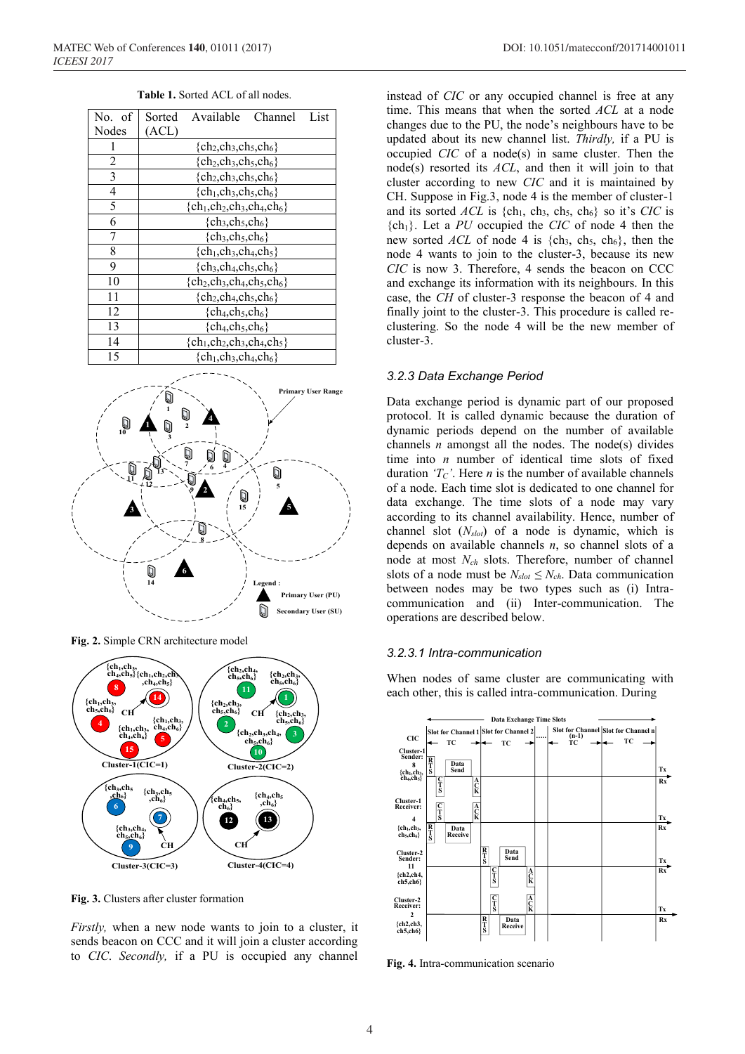| No. of         | Available<br>Sorted<br>Channel<br>List |  |  |  |  |  |
|----------------|----------------------------------------|--|--|--|--|--|
| Nodes          | (ACL)                                  |  |  |  |  |  |
|                | $\{ch_2, ch_3, ch_5, ch_6\}$           |  |  |  |  |  |
| 2              | $\{ch_2, ch_3, ch_5, ch_6\}$           |  |  |  |  |  |
| 3              | ${ch_2, ch_3, ch_5, ch_6}$             |  |  |  |  |  |
| $\overline{4}$ | $\{ch_1, ch_3, ch_5, ch_6\}$           |  |  |  |  |  |
| 5              | ${ch_1, ch_2, ch_3, ch_4, ch_6}$       |  |  |  |  |  |
| 6              | ${ch_3, ch_5, ch_6}$                   |  |  |  |  |  |
| 7              | ${ch_3, ch_5, ch_6}$                   |  |  |  |  |  |
| 8              | $\{ch_1, ch_3, ch_4, ch_5\}$           |  |  |  |  |  |
| 9              | ${ch_3, ch_4, ch_5, ch_6}$             |  |  |  |  |  |
| 10             | ${ch_2, ch_3, ch_4, ch_5, ch_6}$       |  |  |  |  |  |
| 11             | ${ch2, ch4, ch5, ch6}$                 |  |  |  |  |  |
| 12             | $\{ch_4, ch_5, ch_6\}$                 |  |  |  |  |  |
| 13             | $\{ch_4, ch_5, ch_6\}$                 |  |  |  |  |  |
| 14             | $\{ch_1, ch_2, ch_3, ch_4, ch_5\}$     |  |  |  |  |  |
|                |                                        |  |  |  |  |  |

**Table 1.** Sorted ACL of all nodes.



**Fig. 2.** Simple CRN architecture model



**Fig. 3.** Clusters after cluster formation

*Firstly*, when a new node wants to join to a cluster, it sends beacon on CCC and it will join a cluster according to *CIC*. *Secondly,* if a PU is occupied any channel

instead of *CIC* or any occupied channel is free at any time. This means that when the sorted *ACL* at a node changes due to the PU, the node's neighbours have to be updated about its new channel list. *Thirdly,* if a PU is occupied *CIC* of a node(s) in same cluster. Then the node(s) resorted its *ACL*, and then it will join to that cluster according to new *CIC* and it is maintained by CH. Suppose in Fig.3, node 4 is the member of cluster-1 and its sorted  $\Lambda CL$  is {ch<sub>1</sub>, ch<sub>3</sub>, ch<sub>5</sub>, ch<sub>6</sub>} so it's *CIC* is {ch1}. Let a *PU* occupied the *CIC* of node 4 then the new sorted *ACL* of node 4 is  $\{ch_3, ch_5, ch_6\}$ , then the node 4 wants to join to the cluster-3, because its new *CIC* is now 3. Therefore, 4 sends the beacon on CCC and exchange its information with its neighbours. In this case, the *CH* of cluster-3 response the beacon of 4 and finally joint to the cluster-3. This procedure is called reclustering. So the node 4 will be the new member of cluster-3.

#### *3.2.3 Data Exchange Period*

Data exchange period is dynamic part of our proposed protocol. It is called dynamic because the duration of dynamic periods depend on the number of available channels  $n$  amongst all the nodes. The node(s) divides time into *n* number of identical time slots of fixed duration  $T_{C}$ . Here *n* is the number of available channels of a node. Each time slot is dedicated to one channel for data exchange. The time slots of a node may vary according to its channel availability. Hence, number of channel slot (*Nslot*) of a node is dynamic, which is depends on available channels *n*, so channel slots of a node at most *Nch* slots. Therefore, number of channel slots of a node must be  $N_{slot} \leq N_{ch}$ . Data communication between nodes may be two types such as (i) Intracommunication and (ii) Inter-communication. The operations are described below.

#### *3.2.3.1 Intra-communication*

When nodes of same cluster are communicating with each other, this is called intra-communication. During



**Fig. 4.** Intra-communication scenario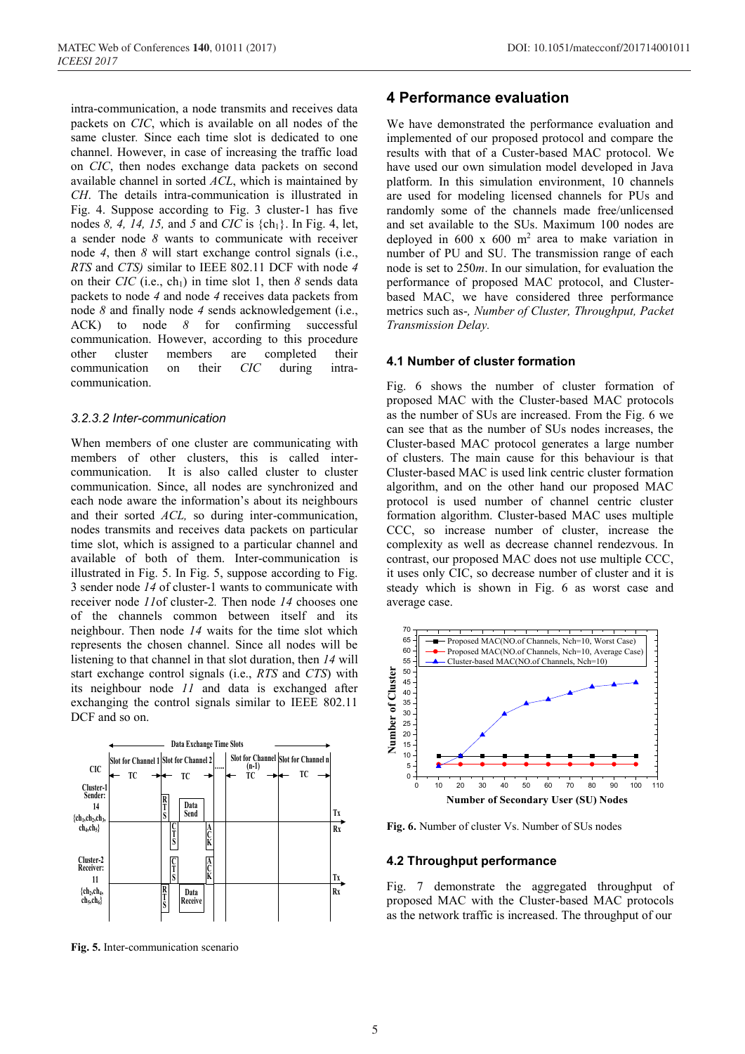intra-communication, a node transmits and receives data packets on *CIC*, which is available on all nodes of the same cluster*.* Since each time slot is dedicated to one channel. However, in case of increasing the traffic load on *CIC*, then nodes exchange data packets on second available channel in sorted *ACL*, which is maintained by *CH*. The details intra-communication is illustrated in Fig. 4. Suppose according to Fig. 3 cluster-1 has five nodes *8, 4, 14, 15,* and *5* and *CIC* is {ch1}. In Fig. 4, let, a sender node *8* wants to communicate with receiver node *4*, then *8* will start exchange control signals (i.e., *RTS* and *CTS)* similar to IEEE 802.11 DCF with node *4* on their *CIC* (i.e., ch<sub>1</sub>) in time slot 1, then  $\delta$  sends data packets to node *4* and node *4* receives data packets from node *8* and finally node *4* sends acknowledgement (i.e., ACK) to node *8* for confirming successful communication. However, according to this procedure other cluster members are completed their communication on their *CIC* during intracommunication.

## *3.2.3.2 Inter-communication*

When members of one cluster are communicating with members of other clusters, this is called intercommunication. It is also called cluster to cluster communication. Since, all nodes are synchronized and each node aware the information's about its neighbours and their sorted *ACL,* so during inter-communication, nodes transmits and receives data packets on particular time slot, which is assigned to a particular channel and available of both of them. Inter-communication is illustrated in Fig. 5. In Fig. 5, suppose according to Fig. 3 sender node *14* of cluster-1 wants to communicate with receiver node *11*of cluster-2*.* Then node *14* chooses one of the channels common between itself and its neighbour. Then node *14* waits for the time slot which represents the chosen channel. Since all nodes will be listening to that channel in that slot duration, then *14* will start exchange control signals (i.e., *RTS* and *CTS*) with its neighbour node *11* and data is exchanged after exchanging the control signals similar to IEEE 802.11 DCF and so on.



**Fig. 5.** Inter-communication scenario

# **4 Performance evaluation**

We have demonstrated the performance evaluation and implemented of our proposed protocol and compare the results with that of a Custer-based MAC protocol. We have used our own simulation model developed in Java platform. In this simulation environment, 10 channels are used for modeling licensed channels for PUs and randomly some of the channels made free/unlicensed and set available to the SUs. Maximum 100 nodes are deployed in 600 x 600 m2 area to make variation in number of PU and SU. The transmission range of each node is set to 250*m*. In our simulation, for evaluation the performance of proposed MAC protocol, and Clusterbased MAC, we have considered three performance metrics such as-*, Number of Cluster, Throughput, Packet Transmission Delay.*

## **4.1 Number of cluster formation**

Fig. 6 shows the number of cluster formation of proposed MAC with the Cluster-based MAC protocols as the number of SUs are increased. From the Fig. 6 we can see that as the number of SUs nodes increases, the Cluster-based MAC protocol generates a large number of clusters. The main cause for this behaviour is that Cluster-based MAC is used link centric cluster formation algorithm, and on the other hand our proposed MAC protocol is used number of channel centric cluster formation algorithm. Cluster-based MAC uses multiple CCC, so increase number of cluster, increase the complexity as well as decrease channel rendezvous. In contrast, our proposed MAC does not use multiple CCC, it uses only CIC, so decrease number of cluster and it is steady which is shown in Fig. 6 as worst case and average case.



**Fig. 6.** Number of cluster Vs. Number of SUs nodes

#### **4.2 Throughput performance**

Fig. 7 demonstrate the aggregated throughput of proposed MAC with the Cluster-based MAC protocols as the network traffic is increased. The throughput of our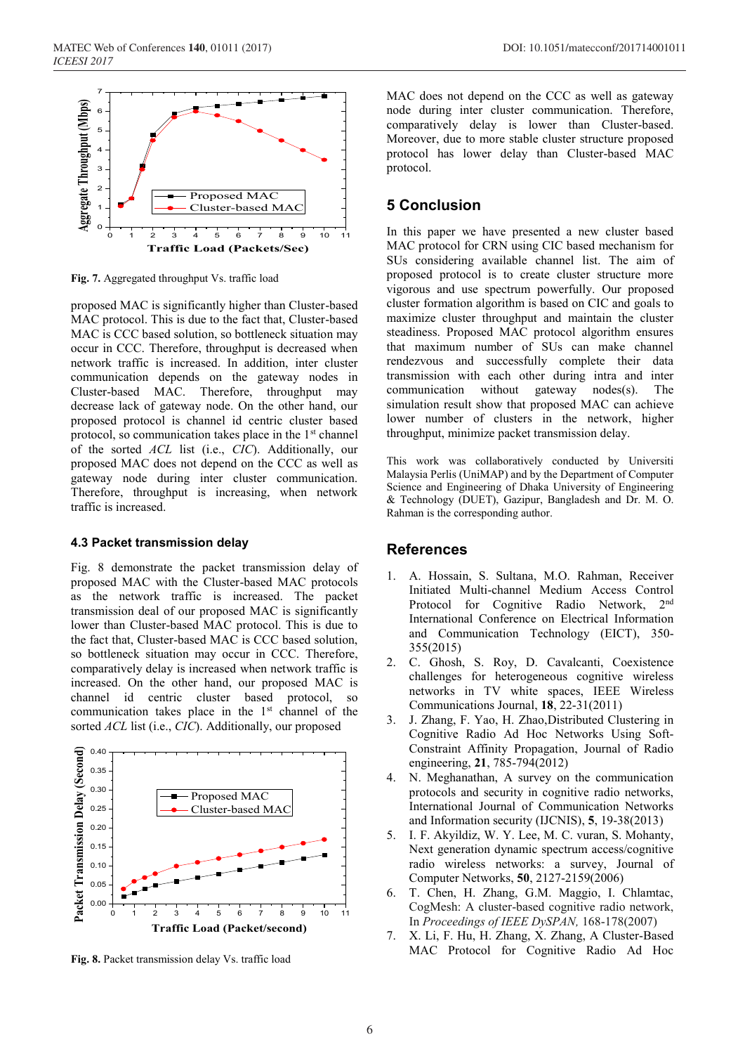

**Fig. 7.** Aggregated throughput Vs. traffic load

proposed MAC is significantly higher than Cluster-based MAC protocol. This is due to the fact that, Cluster-based MAC is CCC based solution, so bottleneck situation may occur in CCC. Therefore, throughput is decreased when network traffic is increased. In addition, inter cluster communication depends on the gateway nodes in Cluster-based MAC. Therefore, throughput may decrease lack of gateway node. On the other hand, our proposed protocol is channel id centric cluster based protocol, so communication takes place in the  $1<sup>st</sup>$  channel of the sorted *ACL* list (i.e., *CIC*). Additionally, our proposed MAC does not depend on the CCC as well as gateway node during inter cluster communication. Therefore, throughput is increasing, when network traffic is increased.

## **4.3 Packet transmission delay**

Fig. 8 demonstrate the packet transmission delay of proposed MAC with the Cluster-based MAC protocols as the network traffic is increased. The packet transmission deal of our proposed MAC is significantly lower than Cluster-based MAC protocol. This is due to the fact that, Cluster-based MAC is CCC based solution, so bottleneck situation may occur in CCC. Therefore, comparatively delay is increased when network traffic is increased. On the other hand, our proposed MAC is channel id centric cluster based protocol, so communication takes place in the 1<sup>st</sup> channel of the sorted *ACL* list (i.e., *CIC*). Additionally, our proposed



**Fig. 8.** Packet transmission delay Vs. traffic load

MAC does not depend on the CCC as well as gateway node during inter cluster communication. Therefore, comparatively delay is lower than Cluster-based. Moreover, due to more stable cluster structure proposed protocol has lower delay than Cluster-based MAC protocol.

# **5 Conclusion**

In this paper we have presented a new cluster based MAC protocol for CRN using CIC based mechanism for SUs considering available channel list. The aim of proposed protocol is to create cluster structure more vigorous and use spectrum powerfully. Our proposed cluster formation algorithm is based on CIC and goals to maximize cluster throughput and maintain the cluster steadiness. Proposed MAC protocol algorithm ensures that maximum number of SUs can make channel rendezvous and successfully complete their data transmission with each other during intra and inter communication without gateway nodes(s). The simulation result show that proposed MAC can achieve lower number of clusters in the network, higher throughput, minimize packet transmission delay.

This work was collaboratively conducted by Universiti Malaysia Perlis (UniMAP) and by the Department of Computer Science and Engineering of Dhaka University of Engineering & Technology (DUET), Gazipur, Bangladesh and Dr. M. O. Rahman is the corresponding author.

## **References**

- 1. A. Hossain, S. Sultana, M.O. Rahman, Receiver Initiated Multi-channel Medium Access Control Protocol for Cognitive Radio Network, 2nd International Conference on Electrical Information and Communication Technology (EICT), 350- 355(2015)
- 2. C. Ghosh, S. Roy, D. Cavalcanti, Coexistence challenges for heterogeneous cognitive wireless networks in TV white spaces, IEEE Wireless Communications Journal, **18**, 22-31(2011)
- 3. J. Zhang, F. Yao, H. Zhao,Distributed Clustering in Cognitive Radio Ad Hoc Networks Using Soft-Constraint Affinity Propagation, Journal of Radio engineering, **21**, 785-794(2012)
- 4. N. Meghanathan, A survey on the communication protocols and security in cognitive radio networks, International Journal of Communication Networks and Information security (IJCNIS), **5**, 19-38(2013)
- 5. I. F. Akyildiz, W. Y. Lee, M. C. vuran, S. Mohanty, Next generation dynamic spectrum access/cognitive radio wireless networks: a survey, Journal of Computer Networks, **50**, 2127-2159(2006)
- 6. T. Chen, H. Zhang, G.M. Maggio, I. Chlamtac, CogMesh: A cluster-based cognitive radio network, In *Proceedings of IEEE DySPAN,* 168-178(2007)
- 7. X. Li, F. Hu, H. Zhang, X. Zhang, A Cluster-Based MAC Protocol for Cognitive Radio Ad Hoc